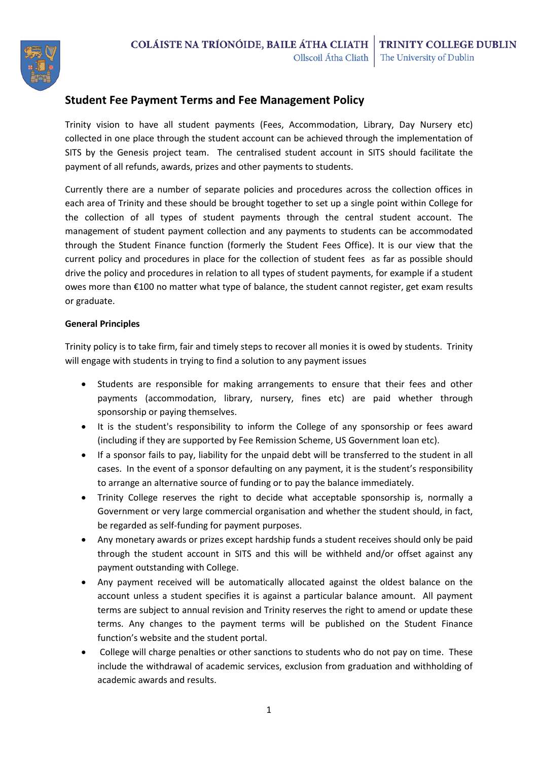

# **Student Fee Payment Terms and Fee Management Policy**

Trinity vision to have all student payments (Fees, Accommodation, Library, Day Nursery etc) collected in one place through the student account can be achieved through the implementation of SITS by the Genesis project team. The centralised student account in SITS should facilitate the payment of all refunds, awards, prizes and other payments to students.

Currently there are a number of separate policies and procedures across the collection offices in each area of Trinity and these should be brought together to set up a single point within College for the collection of all types of student payments through the central student account. The management of student payment collection and any payments to students can be accommodated through the Student Finance function (formerly the Student Fees Office). It is our view that the current policy and procedures in place for the collection of student fees as far as possible should drive the policy and procedures in relation to all types of student payments, for example if a student owes more than €100 no matter what type of balance, the student cannot register, get exam results or graduate.

### **General Principles**

Trinity policy is to take firm, fair and timely steps to recover all monies it is owed by students. Trinity will engage with students in trying to find a solution to any payment issues

- Students are responsible for making arrangements to ensure that their fees and other payments (accommodation, library, nursery, fines etc) are paid whether through sponsorship or paying themselves.
- It is the student's responsibility to inform the College of any sponsorship or fees award (including if they are supported by Fee Remission Scheme, US Government loan etc).
- If a sponsor fails to pay, liability for the unpaid debt will be transferred to the student in all cases. In the event of a sponsor defaulting on any payment, it is the student's responsibility to arrange an alternative source of funding or to pay the balance immediately.
- Trinity College reserves the right to decide what acceptable sponsorship is, normally a Government or very large commercial organisation and whether the student should, in fact, be regarded as self-funding for payment purposes.
- Any monetary awards or prizes except hardship funds a student receives should only be paid through the student account in SITS and this will be withheld and/or offset against any payment outstanding with College.
- Any payment received will be automatically allocated against the oldest balance on the account unless a student specifies it is against a particular balance amount. All payment terms are subject to annual revision and Trinity reserves the right to amend or update these terms. Any changes to the payment terms will be published on the Student Finance function's website and the student portal.
- College will charge penalties or other sanctions to students who do not pay on time. These include the withdrawal of academic services, exclusion from graduation and withholding of academic awards and results.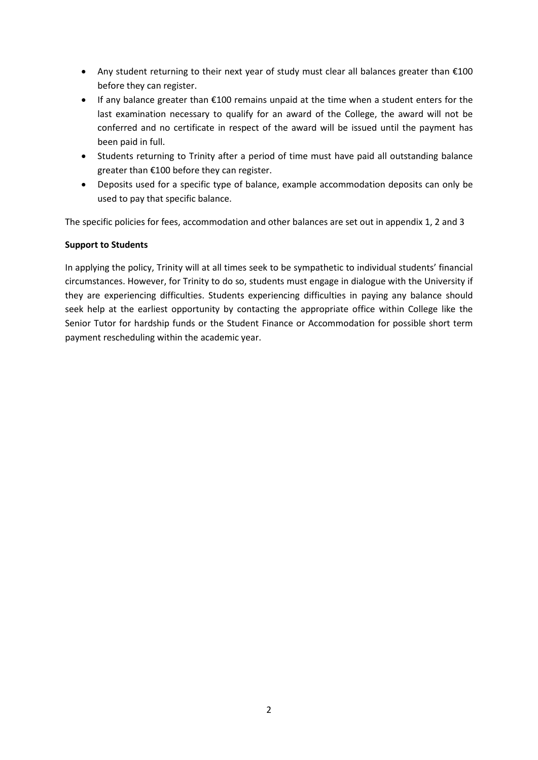- Any student returning to their next year of study must clear all balances greater than €100 before they can register.
- If any balance greater than €100 remains unpaid at the time when a student enters for the last examination necessary to qualify for an award of the College, the award will not be conferred and no certificate in respect of the award will be issued until the payment has been paid in full.
- Students returning to Trinity after a period of time must have paid all outstanding balance greater than €100 before they can register.
- Deposits used for a specific type of balance, example accommodation deposits can only be used to pay that specific balance.

The specific policies for fees, accommodation and other balances are set out in appendix 1, 2 and 3

### **Support to Students**

In applying the policy, Trinity will at all times seek to be sympathetic to individual students' financial circumstances. However, for Trinity to do so, students must engage in dialogue with the University if they are experiencing difficulties. Students experiencing difficulties in paying any balance should seek help at the earliest opportunity by contacting the appropriate office within College like the Senior Tutor for hardship funds or the Student Finance or Accommodation for possible short term payment rescheduling within the academic year.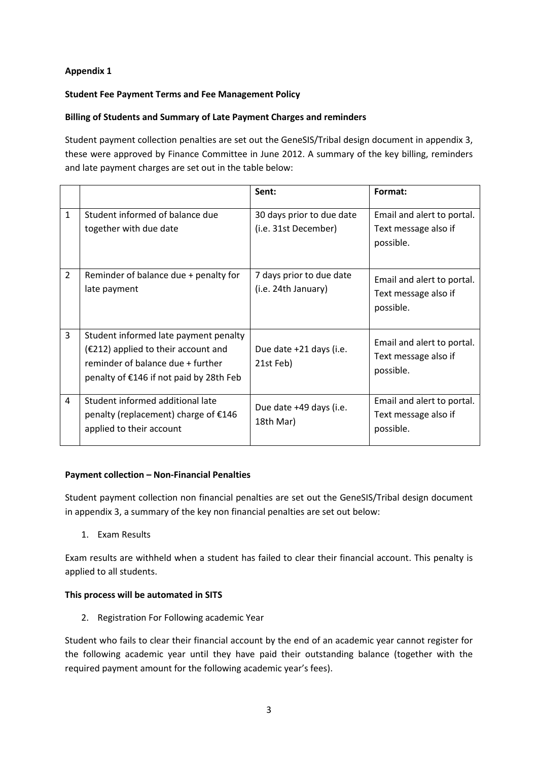# **Appendix 1**

## **Student Fee Payment Terms and Fee Management Policy**

### **Billing of Students and Summary of Late Payment Charges and reminders**

Student payment collection penalties are set out the GeneSIS/Tribal design document in appendix 3, these were approved by Finance Committee in June 2012. A summary of the key billing, reminders and late payment charges are set out in the table below:

|                |                                                                                                                                                                | Sent:                                             | Format:                                                         |
|----------------|----------------------------------------------------------------------------------------------------------------------------------------------------------------|---------------------------------------------------|-----------------------------------------------------------------|
| $\mathbf{1}$   | Student informed of balance due<br>together with due date                                                                                                      | 30 days prior to due date<br>(i.e. 31st December) | Email and alert to portal.<br>Text message also if<br>possible. |
| $\overline{2}$ | Reminder of balance due + penalty for<br>late payment                                                                                                          | 7 days prior to due date<br>(i.e. 24th January)   | Email and alert to portal.<br>Text message also if<br>possible. |
| 3              | Student informed late payment penalty<br>$(£212)$ applied to their account and<br>reminder of balance due + further<br>penalty of €146 if not paid by 28th Feb | Due date +21 days (i.e.<br>21st Feb)              | Email and alert to portal.<br>Text message also if<br>possible. |
| 4              | Student informed additional late<br>penalty (replacement) charge of €146<br>applied to their account                                                           | Due date +49 days (i.e.<br>18th Mar)              | Email and alert to portal.<br>Text message also if<br>possible. |

#### **Payment collection – Non-Financial Penalties**

Student payment collection non financial penalties are set out the GeneSIS/Tribal design document in appendix 3, a summary of the key non financial penalties are set out below:

1. Exam Results

Exam results are withheld when a student has failed to clear their financial account. This penalty is applied to all students.

#### **This process will be automated in SITS**

2. Registration For Following academic Year

Student who fails to clear their financial account by the end of an academic year cannot register for the following academic year until they have paid their outstanding balance (together with the required payment amount for the following academic year's fees).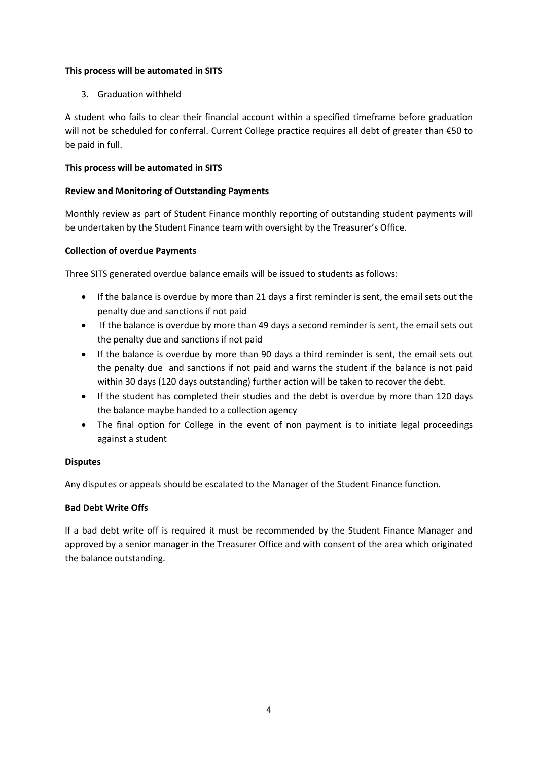## **This process will be automated in SITS**

3. Graduation withheld

A student who fails to clear their financial account within a specified timeframe before graduation will not be scheduled for conferral. Current College practice requires all debt of greater than €50 to be paid in full.

# **This process will be automated in SITS**

# **Review and Monitoring of Outstanding Payments**

Monthly review as part of Student Finance monthly reporting of outstanding student payments will be undertaken by the Student Finance team with oversight by the Treasurer's Office.

# **Collection of overdue Payments**

Three SITS generated overdue balance emails will be issued to students as follows:

- If the balance is overdue by more than 21 days a first reminder is sent, the email sets out the penalty due and sanctions if not paid
- If the balance is overdue by more than 49 days a second reminder is sent, the email sets out the penalty due and sanctions if not paid
- If the balance is overdue by more than 90 days a third reminder is sent, the email sets out the penalty due and sanctions if not paid and warns the student if the balance is not paid within 30 days (120 days outstanding) further action will be taken to recover the debt.
- If the student has completed their studies and the debt is overdue by more than 120 days the balance maybe handed to a collection agency
- The final option for College in the event of non payment is to initiate legal proceedings against a student

# **Disputes**

Any disputes or appeals should be escalated to the Manager of the Student Finance function.

# **Bad Debt Write Offs**

If a bad debt write off is required it must be recommended by the Student Finance Manager and approved by a senior manager in the Treasurer Office and with consent of the area which originated the balance outstanding.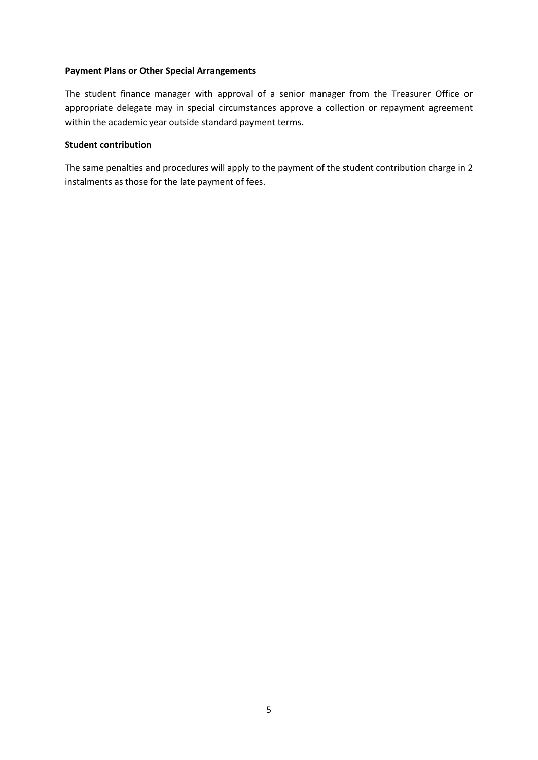#### **Payment Plans or Other Special Arrangements**

The student finance manager with approval of a senior manager from the Treasurer Office or appropriate delegate may in special circumstances approve a collection or repayment agreement within the academic year outside standard payment terms.

## **Student contribution**

The same penalties and procedures will apply to the payment of the student contribution charge in 2 instalments as those for the late payment of fees.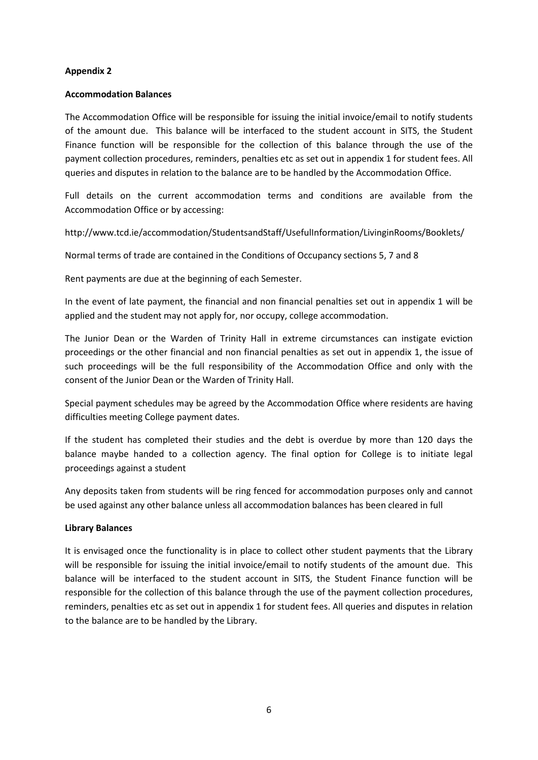## **Appendix 2**

#### **Accommodation Balances**

The Accommodation Office will be responsible for issuing the initial invoice/email to notify students of the amount due. This balance will be interfaced to the student account in SITS, the Student Finance function will be responsible for the collection of this balance through the use of the payment collection procedures, reminders, penalties etc as set out in appendix 1 for student fees. All queries and disputes in relation to the balance are to be handled by the Accommodation Office.

Full details on the current accommodation terms and conditions are available from the Accommodation Office or by accessing:

<http://www.tcd.ie/accommodation/StudentsandStaff/UsefulInformation/LivinginRooms/Booklets/>

Normal terms of trade are contained in the Conditions of Occupancy sections 5, 7 and 8

Rent payments are due at the beginning of each Semester.

In the event of late payment, the financial and non financial penalties set out in appendix 1 will be applied and the student may not apply for, nor occupy, college accommodation.

The Junior Dean or the Warden of Trinity Hall in extreme circumstances can instigate eviction proceedings or the other financial and non financial penalties as set out in appendix 1, the issue of such proceedings will be the full responsibility of the Accommodation Office and only with the consent of the Junior Dean or the Warden of Trinity Hall.

Special payment schedules may be agreed by the Accommodation Office where residents are having difficulties meeting College payment dates.

If the student has completed their studies and the debt is overdue by more than 120 days the balance maybe handed to a collection agency. The final option for College is to initiate legal proceedings against a student

Any deposits taken from students will be ring fenced for accommodation purposes only and cannot be used against any other balance unless all accommodation balances has been cleared in full

#### **Library Balances**

It is envisaged once the functionality is in place to collect other student payments that the Library will be responsible for issuing the initial invoice/email to notify students of the amount due. This balance will be interfaced to the student account in SITS, the Student Finance function will be responsible for the collection of this balance through the use of the payment collection procedures, reminders, penalties etc as set out in appendix 1 for student fees. All queries and disputes in relation to the balance are to be handled by the Library.